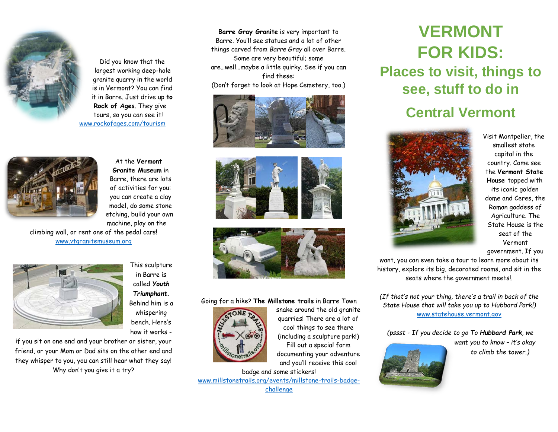

Did you know that the largest working deep-hole granite quarry in the world is in Vermont? You can find it in Barre. Just drive up **to Rock of Ages**. They give tours, so you can see it! [www.rockofages.com/tourism](http://www.rockofages.com/tourism)



At the **Vermont Granite Museum** in Barre, there are lots of activities for you: you can create a clay model, do some stone etching, build your own machine, play on the

climbing wall, or rent one of the pedal cars! [www.vtgranitemuseum.org](http://www.vtgranitemuseum.org/)



This sculpture in Barre is called *Youth Triumphant***.** Behind him is a whispering bench. Here's how it works -

if you sit on one end and your brother or sister, your friend, or your Mom or Dad sits on the other end and they whisper to you, you can still hear what they say! Why don't you give it a try?

**Barre Gray Granite** is very important to Barre. You'll see statues and a lot of other things carved from *Barre Gray* all over Barre. Some are very beautiful; some are…well…maybe a little quirky. See if you can find these: (Don't forget to look at Hope Cemetery, too.)







## Going for a hike? **The Millstone trails** in Barre Town



snake around the old granite quarries! There are a lot of cool things to see there (including a sculpture park!) Fill out a special form documenting your adventure

and you'll receive this cool

badge and some stickers! [www.millstonetrails.org/events/millstone-trails-badge](http://www.millstonetrails.org/events/millstone-trails-badge-challenge/)[challenge](http://www.millstonetrails.org/events/millstone-trails-badge-challenge/)

## **VERMONT FOR KIDS: Places to visit, things to see, stuff to do in Central Vermont**



Visit Montpelier, the smallest state capital in the country. Come see the **Vermont State House** topped with its iconic golden dome and Ceres, the Roman goddess of Agriculture. The State House is the seat of the Vermont government. If you

want, you can even take a tour to learn more about its history, explore its big, decorated rooms, and sit in the seats where the government meets!.

*(If that's not your thing, there's a trail in back of the State House that will take you up to Hubbard Park!)*  [www.statehouse.vermont.gov](http://www.statehouse.vermont.gov/)

*(pssst - If you decide to go To Hubbard Park, we*

*want you to know – it's okay to climb the tower.)*